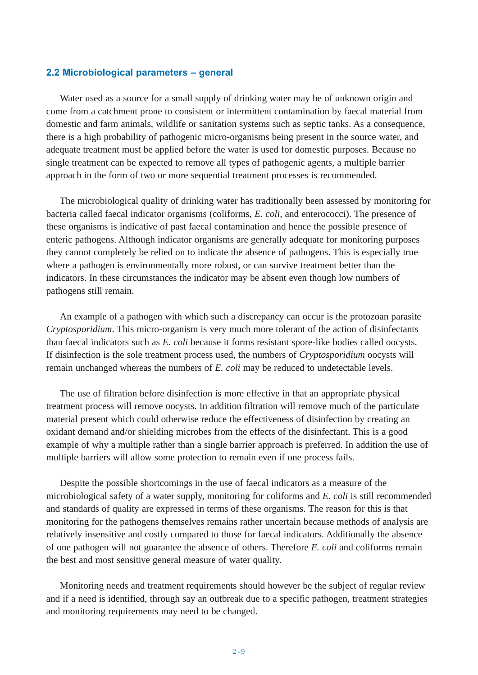#### **2.2 Microbiological parameters – general**

Water used as a source for a small supply of drinking water may be of unknown origin and come from a catchment prone to consistent or intermittent contamination by faecal material from domestic and farm animals, wildlife or sanitation systems such as septic tanks. As a consequence, there is a high probability of pathogenic micro-organisms being present in the source water, and adequate treatment must be applied before the water is used for domestic purposes. Because no single treatment can be expected to remove all types of pathogenic agents, a multiple barrier approach in the form of two or more sequential treatment processes is recommended.

The microbiological quality of drinking water has traditionally been assessed by monitoring for bacteria called faecal indicator organisms (coliforms, *E. coli,* and enterococci). The presence of these organisms is indicative of past faecal contamination and hence the possible presence of enteric pathogens. Although indicator organisms are generally adequate for monitoring purposes they cannot completely be relied on to indicate the absence of pathogens. This is especially true where a pathogen is environmentally more robust, or can survive treatment better than the indicators. In these circumstances the indicator may be absent even though low numbers of pathogens still remain.

An example of a pathogen with which such a discrepancy can occur is the protozoan parasite *Cryptosporidium*. This micro-organism is very much more tolerant of the action of disinfectants than faecal indicators such as *E. coli* because it forms resistant spore-like bodies called oocysts. If disinfection is the sole treatment process used, the numbers of *Cryptosporidium* oocysts will remain unchanged whereas the numbers of *E. coli* may be reduced to undetectable levels.

The use of filtration before disinfection is more effective in that an appropriate physical treatment process will remove oocysts. In addition filtration will remove much of the particulate material present which could otherwise reduce the effectiveness of disinfection by creating an oxidant demand and/or shielding microbes from the effects of the disinfectant. This is a good example of why a multiple rather than a single barrier approach is preferred. In addition the use of multiple barriers will allow some protection to remain even if one process fails.

Despite the possible shortcomings in the use of faecal indicators as a measure of the microbiological safety of a water supply, monitoring for coliforms and *E. coli* is still recommended and standards of quality are expressed in terms of these organisms. The reason for this is that monitoring for the pathogens themselves remains rather uncertain because methods of analysis are relatively insensitive and costly compared to those for faecal indicators. Additionally the absence of one pathogen will not guarantee the absence of others. Therefore *E. coli* and coliforms remain the best and most sensitive general measure of water quality.

Monitoring needs and treatment requirements should however be the subject of regular review and if a need is identified, through say an outbreak due to a specific pathogen, treatment strategies and monitoring requirements may need to be changed.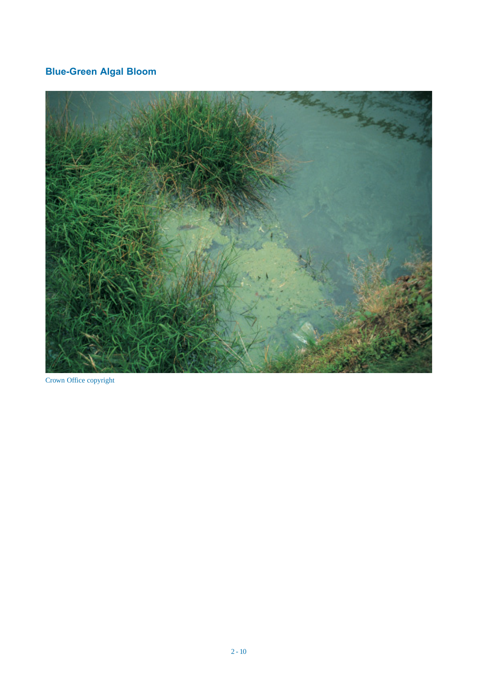# **Blue-Green Algal Bloom**



Crown Office copyright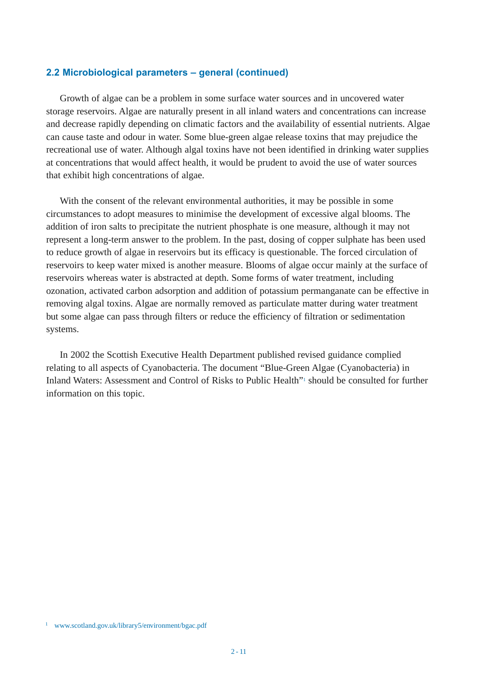# **2.2 Microbiological parameters – general (continued)**

Growth of algae can be a problem in some surface water sources and in uncovered water storage reservoirs. Algae are naturally present in all inland waters and concentrations can increase and decrease rapidly depending on climatic factors and the availability of essential nutrients. Algae can cause taste and odour in water. Some blue-green algae release toxins that may prejudice the recreational use of water. Although algal toxins have not been identified in drinking water supplies at concentrations that would affect health, it would be prudent to avoid the use of water sources that exhibit high concentrations of algae.

With the consent of the relevant environmental authorities, it may be possible in some circumstances to adopt measures to minimise the development of excessive algal blooms. The addition of iron salts to precipitate the nutrient phosphate is one measure, although it may not represent a long-term answer to the problem. In the past, dosing of copper sulphate has been used to reduce growth of algae in reservoirs but its efficacy is questionable. The forced circulation of reservoirs to keep water mixed is another measure. Blooms of algae occur mainly at the surface of reservoirs whereas water is abstracted at depth. Some forms of water treatment, including ozonation, activated carbon adsorption and addition of potassium permanganate can be effective in removing algal toxins. Algae are normally removed as particulate matter during water treatment but some algae can pass through filters or reduce the efficiency of filtration or sedimentation systems.

In 2002 the Scottish Executive Health Department published revised guidance complied relating to all aspects of Cyanobacteria. The document "Blue-Green Algae (Cyanobacteria) in Inland Waters: Assessment and Control of Risks to Public Health"1 should be consulted for further information on this topic.

<sup>1</sup> www.scotland.gov.uk/library5/environment/bgac.pdf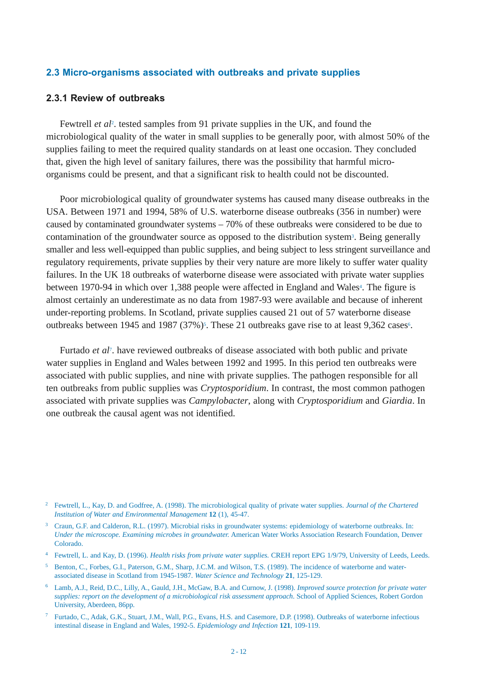#### **2.3 Micro-organisms associated with outbreaks and private supplies**

# **2.3.1 Review of outbreaks**

Fewtrell *et al*<sup>2</sup>, tested samples from 91 private supplies in the UK, and found the microbiological quality of the water in small supplies to be generally poor, with almost 50% of the supplies failing to meet the required quality standards on at least one occasion. They concluded that, given the high level of sanitary failures, there was the possibility that harmful microorganisms could be present, and that a significant risk to health could not be discounted.

Poor microbiological quality of groundwater systems has caused many disease outbreaks in the USA. Between 1971 and 1994, 58% of U.S. waterborne disease outbreaks (356 in number) were caused by contaminated groundwater systems – 70% of these outbreaks were considered to be due to contamination of the groundwater source as opposed to the distribution system<sup>3</sup>. Being generally smaller and less well-equipped than public supplies, and being subject to less stringent surveillance and regulatory requirements, private supplies by their very nature are more likely to suffer water quality failures. In the UK 18 outbreaks of waterborne disease were associated with private water supplies between 1970-94 in which over 1,388 people were affected in England and Wales<sup>4</sup>. The figure is almost certainly an underestimate as no data from 1987-93 were available and because of inherent under-reporting problems. In Scotland, private supplies caused 21 out of 57 waterborne disease outbreaks between 1945 and 1987 (37%)<sup>5</sup>. These 21 outbreaks gave rise to at least 9,362 cases<sup>6</sup>.

Furtado *et al*7. have reviewed outbreaks of disease associated with both public and private water supplies in England and Wales between 1992 and 1995. In this period ten outbreaks were associated with public supplies, and nine with private supplies. The pathogen responsible for all ten outbreaks from public supplies was *Cryptosporidium*. In contrast, the most common pathogen associated with private supplies was *Campylobacter*, along with *Cryptosporidium* and *Giardia*. In one outbreak the causal agent was not identified.

- <sup>4</sup> Fewtrell, L. and Kay, D. (1996). *Health risks from private water supplies.* CREH report EPG 1/9/79, University of Leeds, Leeds.
- <sup>5</sup> Benton, C., Forbes, G.I., Paterson, G.M., Sharp, J.C.M. and Wilson, T.S. (1989). The incidence of waterborne and waterassociated disease in Scotland from 1945-1987. *Water Science and Technology* **21**, 125-129.
- <sup>6</sup> Lamb, A.J., Reid, D.C., Lilly, A., Gauld, J.H., McGaw, B.A. and Curnow, J. (1998). *Improved source protection for private water supplies: report on the development of a microbiological risk assessment approach*. School of Applied Sciences, Robert Gordon University, Aberdeen, 86pp.
- <sup>7</sup> Furtado, C., Adak, G.K., Stuart, J.M., Wall, P.G., Evans, H.S. and Casemore, D.P. (1998). Outbreaks of waterborne infectious intestinal disease in England and Wales, 1992-5. *Epidemiology and Infection* **121**, 109-119.

<sup>2</sup> Fewtrell, L., Kay, D. and Godfree, A. (1998). The microbiological quality of private water supplies. *Journal of the Chartered Institution of Water and Environmental Management* **12** (1), 45-47.

<sup>&</sup>lt;sup>3</sup> Craun, G.F. and Calderon, R.L. (1997). Microbial risks in groundwater systems: epidemiology of waterborne outbreaks. In: *Under the microscope. Examining microbes in groundwater.* American Water Works Association Research Foundation, Denver Colorado.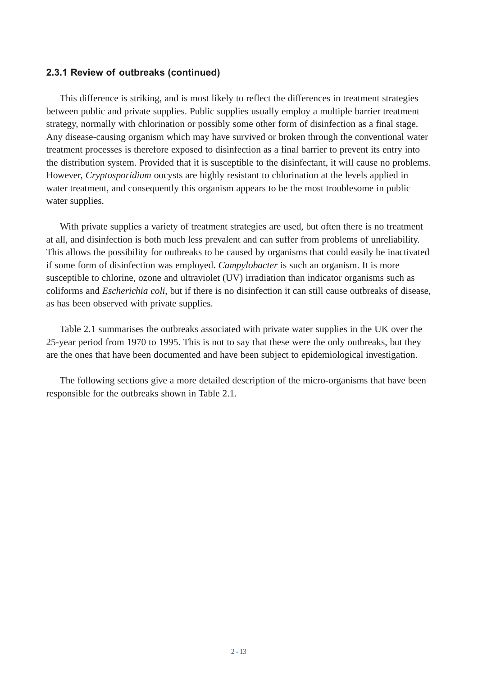# **2.3.1 Review of outbreaks (continued)**

This difference is striking, and is most likely to reflect the differences in treatment strategies between public and private supplies. Public supplies usually employ a multiple barrier treatment strategy, normally with chlorination or possibly some other form of disinfection as a final stage. Any disease-causing organism which may have survived or broken through the conventional water treatment processes is therefore exposed to disinfection as a final barrier to prevent its entry into the distribution system. Provided that it is susceptible to the disinfectant, it will cause no problems. However, *Cryptosporidium* oocysts are highly resistant to chlorination at the levels applied in water treatment, and consequently this organism appears to be the most troublesome in public water supplies.

With private supplies a variety of treatment strategies are used, but often there is no treatment at all, and disinfection is both much less prevalent and can suffer from problems of unreliability. This allows the possibility for outbreaks to be caused by organisms that could easily be inactivated if some form of disinfection was employed. *Campylobacter* is such an organism. It is more susceptible to chlorine, ozone and ultraviolet (UV) irradiation than indicator organisms such as coliforms and *Escherichia coli*, but if there is no disinfection it can still cause outbreaks of disease, as has been observed with private supplies.

Table 2.1 summarises the outbreaks associated with private water supplies in the UK over the 25-year period from 1970 to 1995. This is not to say that these were the only outbreaks, but they are the ones that have been documented and have been subject to epidemiological investigation.

The following sections give a more detailed description of the micro-organisms that have been responsible for the outbreaks shown in Table 2.1.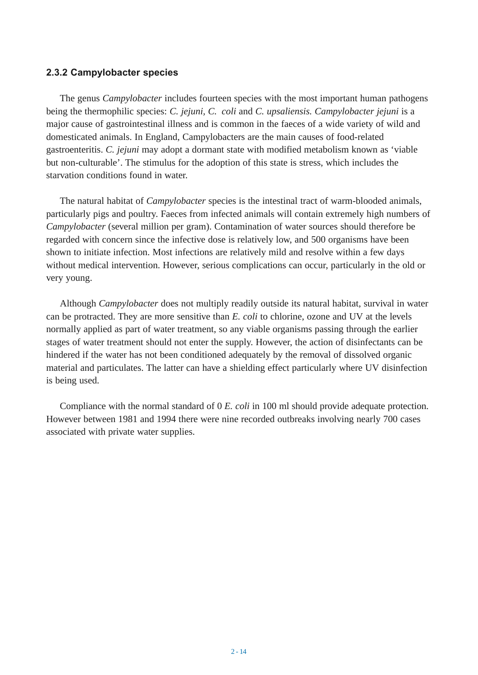# **2.3.2 Campylobacter species**

The genus *Campylobacter* includes fourteen species with the most important human pathogens being the thermophilic species: *C. jejuni, C. coli* and *C. upsaliensis. Campylobacter jejuni* is a major cause of gastrointestinal illness and is common in the faeces of a wide variety of wild and domesticated animals. In England, Campylobacters are the main causes of food-related gastroenteritis. *C. jejuni* may adopt a dormant state with modified metabolism known as 'viable but non-culturable'. The stimulus for the adoption of this state is stress, which includes the starvation conditions found in water.

The natural habitat of *Campylobacter* species is the intestinal tract of warm-blooded animals, particularly pigs and poultry. Faeces from infected animals will contain extremely high numbers of *Campylobacter* (several million per gram). Contamination of water sources should therefore be regarded with concern since the infective dose is relatively low, and 500 organisms have been shown to initiate infection. Most infections are relatively mild and resolve within a few days without medical intervention. However, serious complications can occur, particularly in the old or very young.

Although *Campylobacter* does not multiply readily outside its natural habitat, survival in water can be protracted. They are more sensitive than *E. coli* to chlorine, ozone and UV at the levels normally applied as part of water treatment, so any viable organisms passing through the earlier stages of water treatment should not enter the supply. However, the action of disinfectants can be hindered if the water has not been conditioned adequately by the removal of dissolved organic material and particulates. The latter can have a shielding effect particularly where UV disinfection is being used.

Compliance with the normal standard of 0 *E. coli* in 100 ml should provide adequate protection. However between 1981 and 1994 there were nine recorded outbreaks involving nearly 700 cases associated with private water supplies.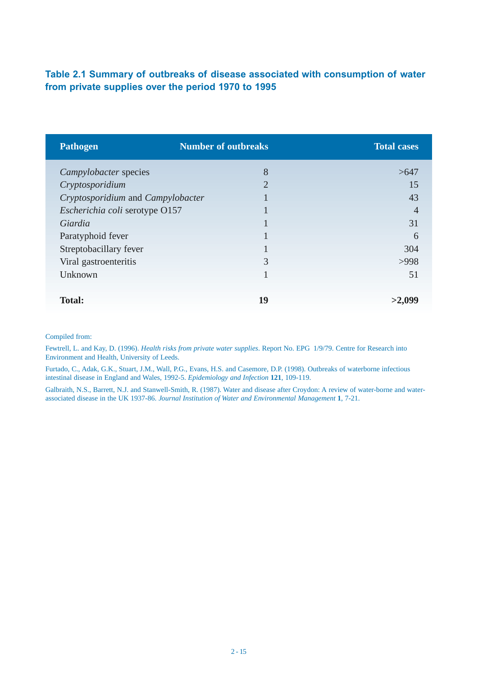# **Table 2.1 Summary of outbreaks of disease associated with consumption of water from private supplies over the period 1970 to 1995**

| <b>Pathogen</b>                   | <b>Number of outbreaks</b> | <b>Total cases</b> |
|-----------------------------------|----------------------------|--------------------|
| Campylobacter species             | 8                          | >647               |
| Cryptosporidium                   | $\overline{2}$             | 15                 |
| Cryptosporidium and Campylobacter |                            | 43                 |
| Escherichia coli serotype O157    |                            | $\overline{4}$     |
| Giardia                           |                            | 31                 |
| Paratyphoid fever                 |                            | 6                  |
| Streptobacillary fever            |                            | 304                |
| Viral gastroenteritis             | 3                          | >998               |
| Unknown                           |                            | 51                 |
|                                   |                            |                    |
| <b>Total:</b>                     | 19                         | >2,099             |

Compiled from:

Fewtrell, L. and Kay, D. (1996). *Health risks from private water supplies*. Report No. EPG 1/9/79. Centre for Research into Environment and Health, University of Leeds.

Furtado, C., Adak, G.K., Stuart, J.M., Wall, P.G., Evans, H.S. and Casemore, D.P. (1998). Outbreaks of waterborne infectious intestinal disease in England and Wales, 1992-5. *Epidemiology and Infection* **121**, 109-119.

Galbraith, N.S., Barrett, N.J. and Stanwell-Smith, R. (1987). Water and disease after Croydon: A review of water-borne and waterassociated disease in the UK 1937-86. *Journal Institution of Water and Environmental Management* **1**, 7-21.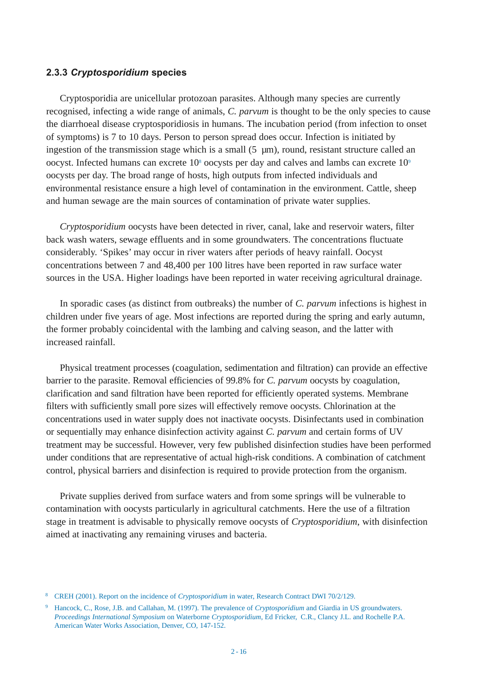#### **2.3.3** *Cryptosporidium* **species**

Cryptosporidia are unicellular protozoan parasites. Although many species are currently recognised, infecting a wide range of animals, *C. parvum* is thought to be the only species to cause the diarrhoeal disease cryptosporidiosis in humans. The incubation period (from infection to onset of symptoms) is 7 to 10 days. Person to person spread does occur. Infection is initiated by ingestion of the transmission stage which is a small  $(5 \mu m)$ , round, resistant structure called an oocyst. Infected humans can excrete  $10^8$  oocysts per day and calves and lambs can excrete  $10^9$ oocysts per day. The broad range of hosts, high outputs from infected individuals and environmental resistance ensure a high level of contamination in the environment. Cattle, sheep and human sewage are the main sources of contamination of private water supplies.

*Cryptosporidium* oocysts have been detected in river, canal, lake and reservoir waters, filter back wash waters, sewage effluents and in some groundwaters. The concentrations fluctuate considerably. 'Spikes' may occur in river waters after periods of heavy rainfall. Oocyst concentrations between 7 and 48,400 per 100 litres have been reported in raw surface water sources in the USA. Higher loadings have been reported in water receiving agricultural drainage.

In sporadic cases (as distinct from outbreaks) the number of *C. parvum* infections is highest in children under five years of age. Most infections are reported during the spring and early autumn, the former probably coincidental with the lambing and calving season, and the latter with increased rainfall.

Physical treatment processes (coagulation, sedimentation and filtration) can provide an effective barrier to the parasite. Removal efficiencies of 99.8% for *C. parvum* oocysts by coagulation, clarification and sand filtration have been reported for efficiently operated systems. Membrane filters with sufficiently small pore sizes will effectively remove oocysts. Chlorination at the concentrations used in water supply does not inactivate oocysts. Disinfectants used in combination or sequentially may enhance disinfection activity against *C. parvum* and certain forms of UV treatment may be successful. However, very few published disinfection studies have been performed under conditions that are representative of actual high-risk conditions. A combination of catchment control, physical barriers and disinfection is required to provide protection from the organism.

Private supplies derived from surface waters and from some springs will be vulnerable to contamination with oocysts particularly in agricultural catchments. Here the use of a filtration stage in treatment is advisable to physically remove oocysts of *Cryptosporidium*, with disinfection aimed at inactivating any remaining viruses and bacteria.

<sup>8</sup> CREH (2001). Report on the incidence of *Cryptosporidium* in water, Research Contract DWI 70/2/129.

<sup>9</sup> Hancock, C., Rose, J.B. and Callahan, M. (1997). The prevalence of *Cryptosporidium* and Giardia in US groundwaters. *Proceedings International Symposium* on Waterborne *Cryptosporidium*, Ed Fricker, C.R., Clancy J.L. and Rochelle P.A. American Water Works Association, Denver, CO, 147-152.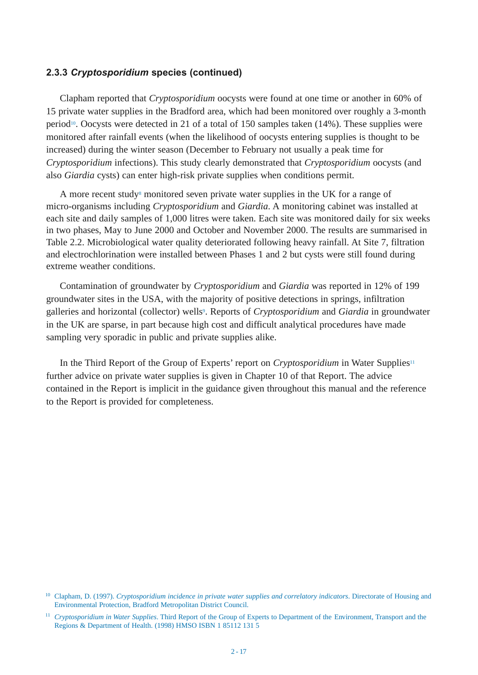#### **2.3.3** *Cryptosporidium* **species (continued)**

Clapham reported that *Cryptosporidium* oocysts were found at one time or another in 60% of 15 private water supplies in the Bradford area, which had been monitored over roughly a 3-month period<sup>10</sup>. Oocysts were detected in 21 of a total of 150 samples taken (14%). These supplies were monitored after rainfall events (when the likelihood of oocysts entering supplies is thought to be increased) during the winter season (December to February not usually a peak time for *Cryptosporidium* infections). This study clearly demonstrated that *Cryptosporidium* oocysts (and also *Giardia* cysts) can enter high-risk private supplies when conditions permit.

A more recent study8 monitored seven private water supplies in the UK for a range of micro-organisms including *Cryptosporidium* and *Giardia*. A monitoring cabinet was installed at each site and daily samples of 1,000 litres were taken. Each site was monitored daily for six weeks in two phases, May to June 2000 and October and November 2000. The results are summarised in Table 2.2. Microbiological water quality deteriorated following heavy rainfall. At Site 7, filtration and electrochlorination were installed between Phases 1 and 2 but cysts were still found during extreme weather conditions.

Contamination of groundwater by *Cryptosporidium* and *Giardia* was reported in 12% of 199 groundwater sites in the USA, with the majority of positive detections in springs, infiltration galleries and horizontal (collector) wells9. Reports of *Cryptosporidium* and *Giardia* in groundwater in the UK are sparse, in part because high cost and difficult analytical procedures have made sampling very sporadic in public and private supplies alike.

In the Third Report of the Group of Experts' report on *Cryptosporidium* in Water Supplies<sup>11</sup> further advice on private water supplies is given in Chapter 10 of that Report. The advice contained in the Report is implicit in the guidance given throughout this manual and the reference to the Report is provided for completeness.

<sup>10</sup> Clapham, D. (1997). *Cryptosporidium incidence in private water supplies and correlatory indicators*. Directorate of Housing and Environmental Protection, Bradford Metropolitan District Council.

<sup>11</sup> *Cryptosporidium in Water Supplies*. Third Report of the Group of Experts to Department of the Environment, Transport and the Regions & Department of Health. (1998) HMSO ISBN 1 85112 131 5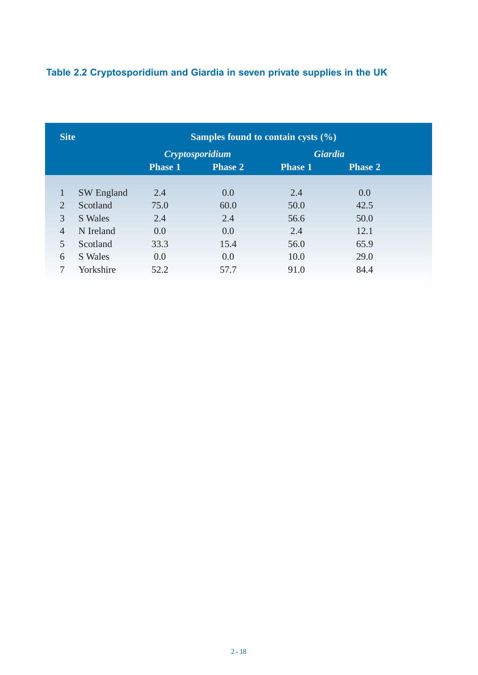| <b>Site</b>    |                   | Samples found to contain cysts $(\%)$ |                |                |                |
|----------------|-------------------|---------------------------------------|----------------|----------------|----------------|
|                |                   | <b>Cryptosporidium</b>                |                | <b>Giardia</b> |                |
|                |                   | <b>Phase 1</b>                        | <b>Phase 2</b> | <b>Phase 1</b> | <b>Phase 2</b> |
|                |                   |                                       |                |                |                |
| 1              | <b>SW</b> England | 2.4                                   | 0.0            | 2.4            | 0.0            |
| 2              | Scotland          | 75.0                                  | 60.0           | 50.0           | 42.5           |
| 3              | <b>S</b> Wales    | 2.4                                   | 2.4            | 56.6           | 50.0           |
| $\overline{4}$ | N Ireland         | 0.0                                   | 0.0            | 2.4            | 12.1           |
| 5              | Scotland          | 33.3                                  | 15.4           | 56.0           | 65.9           |
| 6              | <b>S</b> Wales    | 0.0                                   | 0.0            | 10.0           | 29.0           |
|                | Yorkshire         | 52.2                                  | 57.7           | 91.0           | 84.4           |

# **Table 2.2 Cryptosporidium and Giardia in seven private supplies in the UK**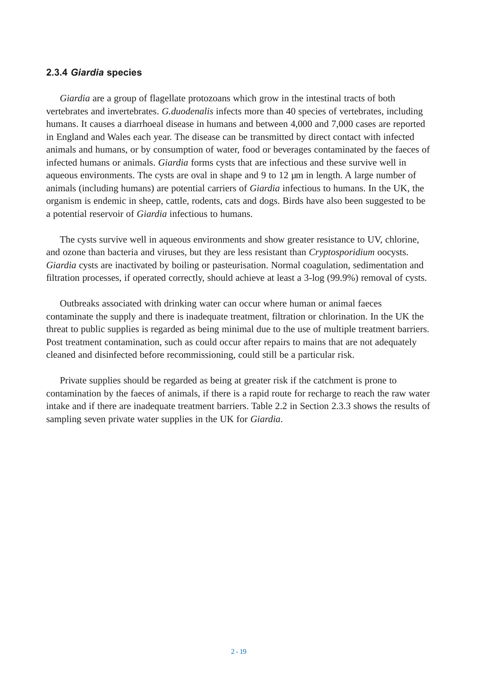# **2.3.4** *Giardia* **species**

*Giardia* are a group of flagellate protozoans which grow in the intestinal tracts of both vertebrates and invertebrates. *G.duodenalis* infects more than 40 species of vertebrates, including humans. It causes a diarrhoeal disease in humans and between 4,000 and 7,000 cases are reported in England and Wales each year. The disease can be transmitted by direct contact with infected animals and humans, or by consumption of water, food or beverages contaminated by the faeces of infected humans or animals. *Giardia* forms cysts that are infectious and these survive well in aqueous environments. The cysts are oval in shape and 9 to 12 µm in length. A large number of animals (including humans) are potential carriers of *Giardia* infectious to humans. In the UK, the organism is endemic in sheep, cattle, rodents, cats and dogs. Birds have also been suggested to be a potential reservoir of *Giardia* infectious to humans.

The cysts survive well in aqueous environments and show greater resistance to UV, chlorine, and ozone than bacteria and viruses, but they are less resistant than *Cryptosporidium* oocysts. *Giardia* cysts are inactivated by boiling or pasteurisation. Normal coagulation, sedimentation and filtration processes, if operated correctly, should achieve at least a 3-log (99.9%) removal of cysts.

Outbreaks associated with drinking water can occur where human or animal faeces contaminate the supply and there is inadequate treatment, filtration or chlorination. In the UK the threat to public supplies is regarded as being minimal due to the use of multiple treatment barriers. Post treatment contamination, such as could occur after repairs to mains that are not adequately cleaned and disinfected before recommissioning, could still be a particular risk.

Private supplies should be regarded as being at greater risk if the catchment is prone to contamination by the faeces of animals, if there is a rapid route for recharge to reach the raw water intake and if there are inadequate treatment barriers. Table 2.2 in Section 2.3.3 shows the results of sampling seven private water supplies in the UK for *Giardia*.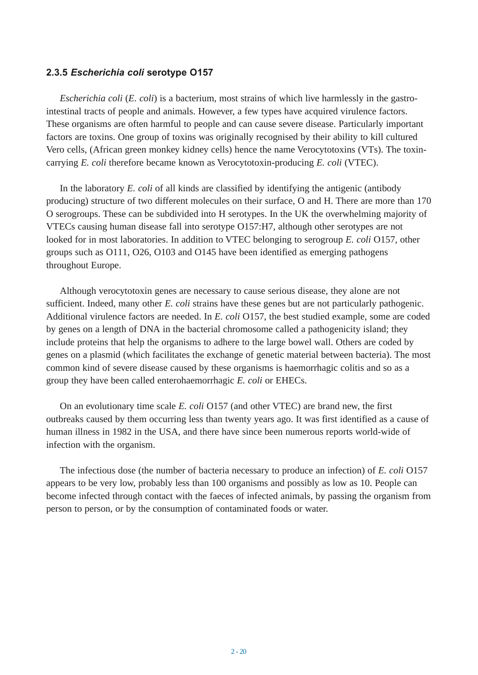#### **2.3.5** *Escherichia coli* **serotype O157**

*Escherichia coli* (*E. coli*) is a bacterium, most strains of which live harmlessly in the gastrointestinal tracts of people and animals. However, a few types have acquired virulence factors. These organisms are often harmful to people and can cause severe disease. Particularly important factors are toxins. One group of toxins was originally recognised by their ability to kill cultured Vero cells, (African green monkey kidney cells) hence the name Verocytotoxins (VTs). The toxincarrying *E. coli* therefore became known as Verocytotoxin-producing *E. coli* (VTEC).

In the laboratory *E. coli* of all kinds are classified by identifying the antigenic (antibody producing) structure of two different molecules on their surface, O and H. There are more than 170 O serogroups. These can be subdivided into H serotypes. In the UK the overwhelming majority of VTECs causing human disease fall into serotype O157:H7, although other serotypes are not looked for in most laboratories. In addition to VTEC belonging to serogroup *E. coli* O157, other groups such as O111, O26, O103 and O145 have been identified as emerging pathogens throughout Europe.

Although verocytotoxin genes are necessary to cause serious disease, they alone are not sufficient. Indeed, many other *E. coli* strains have these genes but are not particularly pathogenic. Additional virulence factors are needed. In *E. coli* O157, the best studied example, some are coded by genes on a length of DNA in the bacterial chromosome called a pathogenicity island; they include proteins that help the organisms to adhere to the large bowel wall. Others are coded by genes on a plasmid (which facilitates the exchange of genetic material between bacteria). The most common kind of severe disease caused by these organisms is haemorrhagic colitis and so as a group they have been called enterohaemorrhagic *E. coli* or EHECs.

On an evolutionary time scale *E. coli* O157 (and other VTEC) are brand new, the first outbreaks caused by them occurring less than twenty years ago. It was first identified as a cause of human illness in 1982 in the USA, and there have since been numerous reports world-wide of infection with the organism.

The infectious dose (the number of bacteria necessary to produce an infection) of *E. coli* O157 appears to be very low, probably less than 100 organisms and possibly as low as 10. People can become infected through contact with the faeces of infected animals, by passing the organism from person to person, or by the consumption of contaminated foods or water.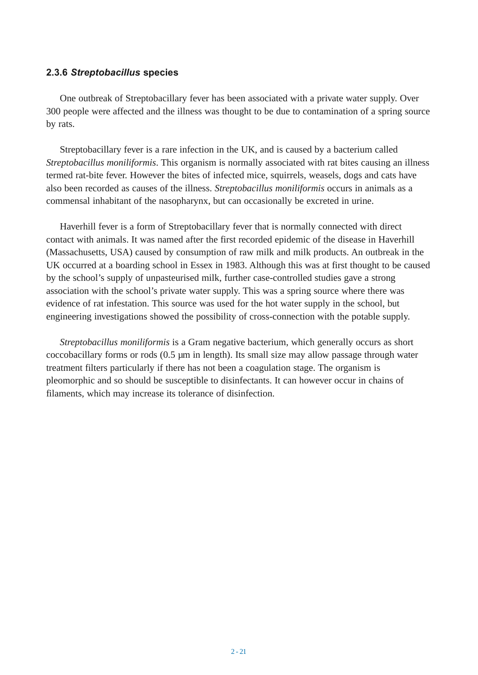# **2.3.6** *Streptobacillus* **species**

One outbreak of Streptobacillary fever has been associated with a private water supply. Over 300 people were affected and the illness was thought to be due to contamination of a spring source by rats.

Streptobacillary fever is a rare infection in the UK, and is caused by a bacterium called *Streptobacillus moniliformis*. This organism is normally associated with rat bites causing an illness termed rat-bite fever. However the bites of infected mice, squirrels, weasels, dogs and cats have also been recorded as causes of the illness. *Streptobacillus moniliformis* occurs in animals as a commensal inhabitant of the nasopharynx, but can occasionally be excreted in urine.

Haverhill fever is a form of Streptobacillary fever that is normally connected with direct contact with animals. It was named after the first recorded epidemic of the disease in Haverhill (Massachusetts, USA) caused by consumption of raw milk and milk products. An outbreak in the UK occurred at a boarding school in Essex in 1983. Although this was at first thought to be caused by the school's supply of unpasteurised milk, further case-controlled studies gave a strong association with the school's private water supply. This was a spring source where there was evidence of rat infestation. This source was used for the hot water supply in the school, but engineering investigations showed the possibility of cross-connection with the potable supply.

*Streptobacillus moniliformis* is a Gram negative bacterium, which generally occurs as short coccobacillary forms or rods (0.5 µm in length). Its small size may allow passage through water treatment filters particularly if there has not been a coagulation stage. The organism is pleomorphic and so should be susceptible to disinfectants. It can however occur in chains of filaments, which may increase its tolerance of disinfection.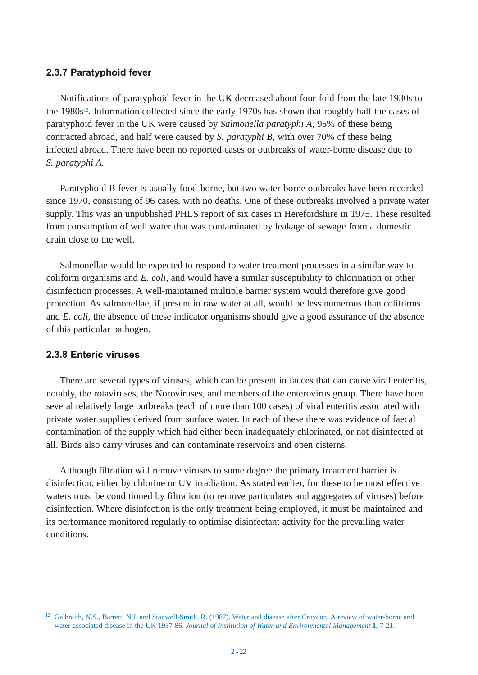#### **2.3.7 Paratyphoid fever**

Notifications of paratyphoid fever in the UK decreased about four-fold from the late 1930s to the  $1980s^{12}$ . Information collected since the early 1970s has shown that roughly half the cases of paratyphoid fever in the UK were caused by *Salmonella paratyphi A*, 95% of these being contracted abroad, and half were caused by *S. paratyphi B*, with over 70% of these being infected abroad. There have been no reported cases or outbreaks of water-borne disease due to *S. paratyphi A.*

Paratyphoid B fever is usually food-borne, but two water-borne outbreaks have been recorded since 1970, consisting of 96 cases, with no deaths. One of these outbreaks involved a private water supply. This was an unpublished PHLS report of six cases in Herefordshire in 1975. These resulted from consumption of well water that was contaminated by leakage of sewage from a domestic drain close to the well.

Salmonellae would be expected to respond to water treatment processes in a similar way to coliform organisms and *E. coli*, and would have a similar susceptibility to chlorination or other disinfection processes. A well-maintained multiple barrier system would therefore give good protection. As salmonellae, if present in raw water at all, would be less numerous than coliforms and *E. coli*, the absence of these indicator organisms should give a good assurance of the absence of this particular pathogen.

# **2.3.8 Enteric viruses**

There are several types of viruses, which can be present in faeces that can cause viral enteritis, notably, the rotaviruses, the Noroviruses, and members of the enterovirus group. There have been several relatively large outbreaks (each of more than 100 cases) of viral enteritis associated with private water supplies derived from surface water. In each of these there was evidence of faecal contamination of the supply which had either been inadequately chlorinated, or not disinfected at all. Birds also carry viruses and can contaminate reservoirs and open cisterns.

Although filtration will remove viruses to some degree the primary treatment barrier is disinfection, either by chlorine or UV irradiation. As stated earlier, for these to be most effective waters must be conditioned by filtration (to remove particulates and aggregates of viruses) before disinfection. Where disinfection is the only treatment being employed, it must be maintained and its performance monitored regularly to optimise disinfectant activity for the prevailing water conditions.

<sup>&</sup>lt;sup>12</sup> Galbraith, N.S., Barrett, N.J. and Stanwell-Smith, R. (1987). Water and disease after Croydon: A review of water-borne and water-associated disease in the UK 1937-86. *Journal of Institution of Water and Environmental Management* **1**, 7-21.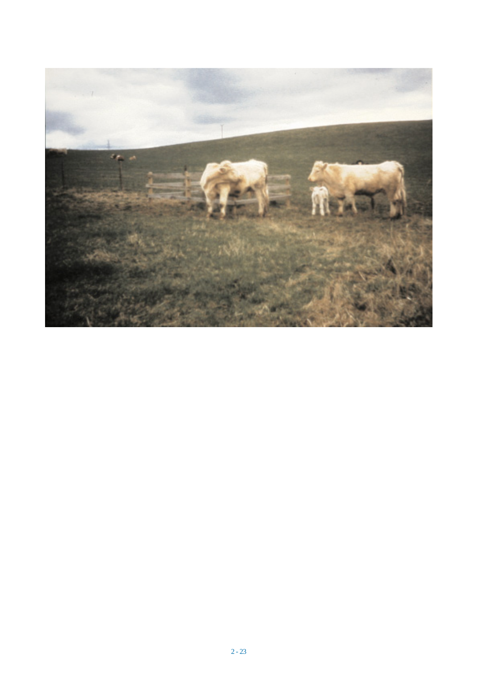